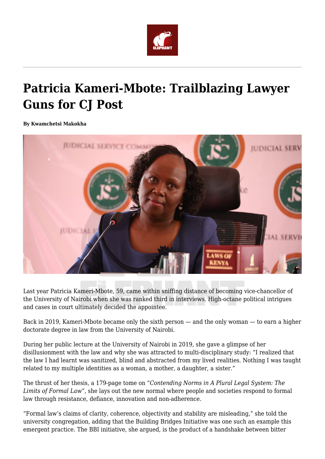

## **Patricia Kameri-Mbote: Trailblazing Lawyer Guns for CJ Post**

## **By Kwamchetsi Makokha**



Last year Patricia Kameri-Mbote, 59, came within sniffing distance of becoming vice-chancellor of the University of Nairobi when she was ranked third in interviews. High-octane political intrigues and cases in court ultimately decided the appointee.

Back in 2019, Kameri-Mbote became only the sixth person — and the only woman — to earn a higher doctorate degree in law from the University of Nairobi.

During her public lecture at the University of Nairobi in 2019, she gave a glimpse of her disillusionment with the law and why she was attracted to multi-disciplinary study: "I realized that the law I had learnt was sanitized, blind and abstracted from my lived realities. Nothing I was taught related to my multiple identities as a woman, a mother, a daughter, a sister."

The thrust of her thesis, a 179-page tome on *"Contending Norms in A Plural Legal System: The Limits of Formal Law"*, she lays out the new normal where people and societies respond to formal law through resistance, defiance, innovation and non-adherence.

"Formal law's claims of clarity, coherence, objectivity and stability are misleading," she told the university congregation, adding that the Building Bridges Initiative was one such an example this emergent practice. The BBI initiative, she argued, is the product of a handshake between bitter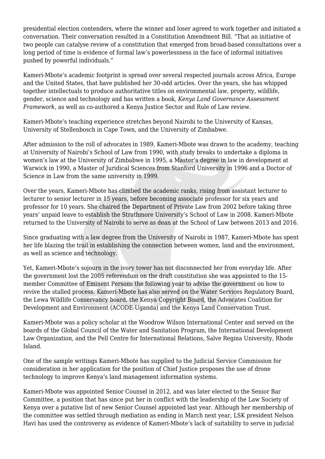presidential election contenders, where the winner and loser agreed to work together and initiated a conversation. Their conversation resulted in a Constitution Amendment Bill. "That an initiative of two people can catalyse review of a constitution that emerged from broad-based consultations over a long period of time is evidence of formal law's powerlessness in the face of informal initiatives pushed by powerful individuals."

Kameri-Mbote's academic footprint is spread over several respected journals across Africa, Europe and the United States, that have published her 30-odd articles. Over the years, she has whipped together intellectuals to produce authoritative titles on environmental law, property, wildlife, gender, science and technology and has written a book, *Kenya Land Governance Assessment Framework*, as well as co-authored a Kenya Justice Sector and Rule of Law review.

Kameri-Mbote's teaching experience stretches beyond Nairobi to the University of Kansas, University of Stellenbosch in Cape Town, and the University of Zimbabwe.

After admission to the roll of advocates in 1989, Kameri-Mbote was drawn to the academy, teaching at University of Nairobi's School of Law from 1990, with study breaks to undertake a diploma in women's law at the University of Zimbabwe in 1995, a Master's degree in law in development at Warwick in 1990, a Master of Juridical Sciences from Stanford University in 1996 and a Doctor of Science in Law from the same university in 1999.

Over the years, Kameri-Mbote has climbed the academic ranks, rising from assistant lecturer to lecturer to senior lecturer in 15 years, before becoming associate professor for six years and professor for 10 years. She chaired the Department of Private Law from 2002 before taking three years' unpaid leave to establish the Strathmore University's School of Law in 2008. Kameri-Mbote returned to the University of Nairobi to serve as dean at the School of Law between 2013 and 2016.

Since graduating with a law degree from the University of Nairobi in 1987, Kameri-Mbote has spent her life blazing the trail in establishing the connection between women, land and the environment, as well as science and technology.

Yet, Kameri-Mbote's sojourn in the ivory tower has not disconnected her from everyday life. After the government lost the 2005 referendum on the draft constitution she was appointed to the 15 member Committee of Eminent Persons the following year to advise the government on how to revive the stalled process. Kameri-Mbote has also served on the Water Services Regulatory Board, the Lewa Wildlife Conservancy board, the Kenya Copyright Board, the Advocates Coalition for Development and Environment (ACODE-Uganda) and the Kenya Land Conservation Trust.

Kameri-Mbote was a policy scholar at the Woodrow Wilson International Center and served on the boards of the Global Council of the Water and Sanitation Program, the International Development Law Organization, and the Pell Centre for International Relations, Salve Regina University, Rhode Island.

One of the sample writings Kameri-Mbote has supplied to the Judicial Service Commission for consideration in her application for the position of Chief Justice proposes the use of drone technology to improve Kenya's land management information systems.

Kameri-Mbote was appointed Senior Counsel in 2012, and was later elected to the Senior Bar Committee, a position that has since put her in conflict with the leadership of the Law Society of Kenya over a putative list of new Senior Counsel appointed last year. Although her membership of the committee was settled through mediation as ending in March next year, LSK president Nelson Havi has used the controversy as evidence of Kameri-Mbote's lack of suitability to serve in judicial